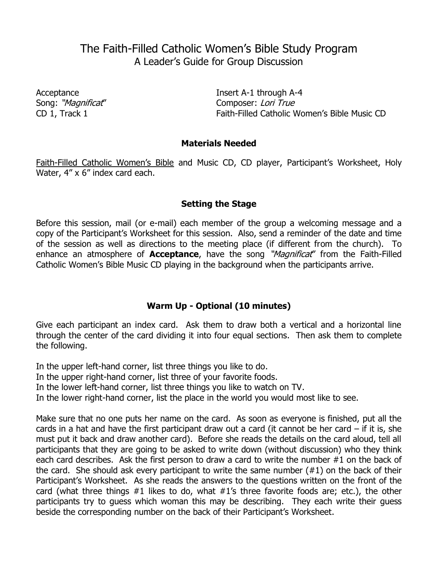# The Faith-Filled Catholic Women's Bible Study Program A Leader's Guide for Group Discussion

Acceptance **Insert A-1 through A-4** Song: "Magnificat" Composer: Lori True CD 1, Track 1 Faith-Filled Catholic Women's Bible Music CD

### **Materials Needed**

Faith-Filled Catholic Women's Bible and Music CD, CD player, Participant's Worksheet, Holy Water, 4" x 6" index card each.

### **Setting the Stage**

Before this session, mail (or e-mail) each member of the group a welcoming message and a copy of the Participant's Worksheet for this session. Also, send a reminder of the date and time of the session as well as directions to the meeting place (if different from the church). To enhance an atmosphere of **Acceptance**, have the song "*Magnificat*" from the Faith-Filled Catholic Women's Bible Music CD playing in the background when the participants arrive.

### **Warm Up - Optional (10 minutes)**

Give each participant an index card. Ask them to draw both a vertical and a horizontal line through the center of the card dividing it into four equal sections. Then ask them to complete the following.

In the upper left-hand corner, list three things you like to do.

In the upper right-hand corner, list three of your favorite foods.

In the lower left-hand corner, list three things you like to watch on TV.

In the lower right-hand corner, list the place in the world you would most like to see.

Make sure that no one puts her name on the card. As soon as everyone is finished, put all the cards in a hat and have the first participant draw out a card (it cannot be her card  $-$  if it is, she must put it back and draw another card). Before she reads the details on the card aloud, tell all participants that they are going to be asked to write down (without discussion) who they think each card describes. Ask the first person to draw a card to write the number #1 on the back of the card. She should ask every participant to write the same number  $(\#1)$  on the back of their Participant's Worksheet. As she reads the answers to the questions written on the front of the card (what three things #1 likes to do, what #1's three favorite foods are; etc.), the other participants try to guess which woman this may be describing. They each write their guess beside the corresponding number on the back of their Participant's Worksheet.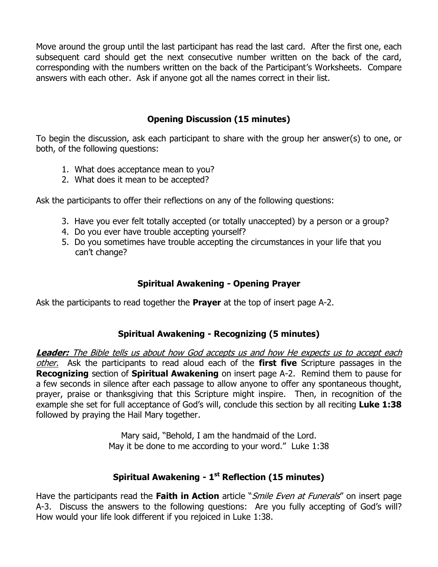Move around the group until the last participant has read the last card. After the first one, each subsequent card should get the next consecutive number written on the back of the card, corresponding with the numbers written on the back of the Participant's Worksheets. Compare answers with each other. Ask if anyone got all the names correct in their list.

## **Opening Discussion (15 minutes)**

To begin the discussion, ask each participant to share with the group her answer(s) to one, or both, of the following questions:

- 1. What does acceptance mean to you?
- 2. What does it mean to be accepted?

Ask the participants to offer their reflections on any of the following questions:

- 3. Have you ever felt totally accepted (or totally unaccepted) by a person or a group?
- 4. Do you ever have trouble accepting yourself?
- 5. Do you sometimes have trouble accepting the circumstances in your life that you can't change?

## **Spiritual Awakening - Opening Prayer**

Ask the participants to read together the **Prayer** at the top of insert page A-2.

## **Spiritual Awakening - Recognizing (5 minutes)**

**Leader:** The Bible tells us about how God accepts us and how He expects us to accept each other. Ask the participants to read aloud each of the **first five** Scripture passages in the **Recognizing** section of **Spiritual Awakening** on insert page A-2. Remind them to pause for a few seconds in silence after each passage to allow anyone to offer any spontaneous thought, prayer, praise or thanksgiving that this Scripture might inspire. Then, in recognition of the example she set for full acceptance of God's will, conclude this section by all reciting **Luke 1:38** followed by praying the Hail Mary together.

> Mary said, "Behold, I am the handmaid of the Lord. May it be done to me according to your word." Luke 1:38

## **Spiritual Awakening - 1 st Reflection (15 minutes)**

Have the participants read the **Faith in Action** article "Smile Even at Funerals" on insert page A-3. Discuss the answers to the following questions: Are you fully accepting of God's will? How would your life look different if you rejoiced in Luke 1:38.